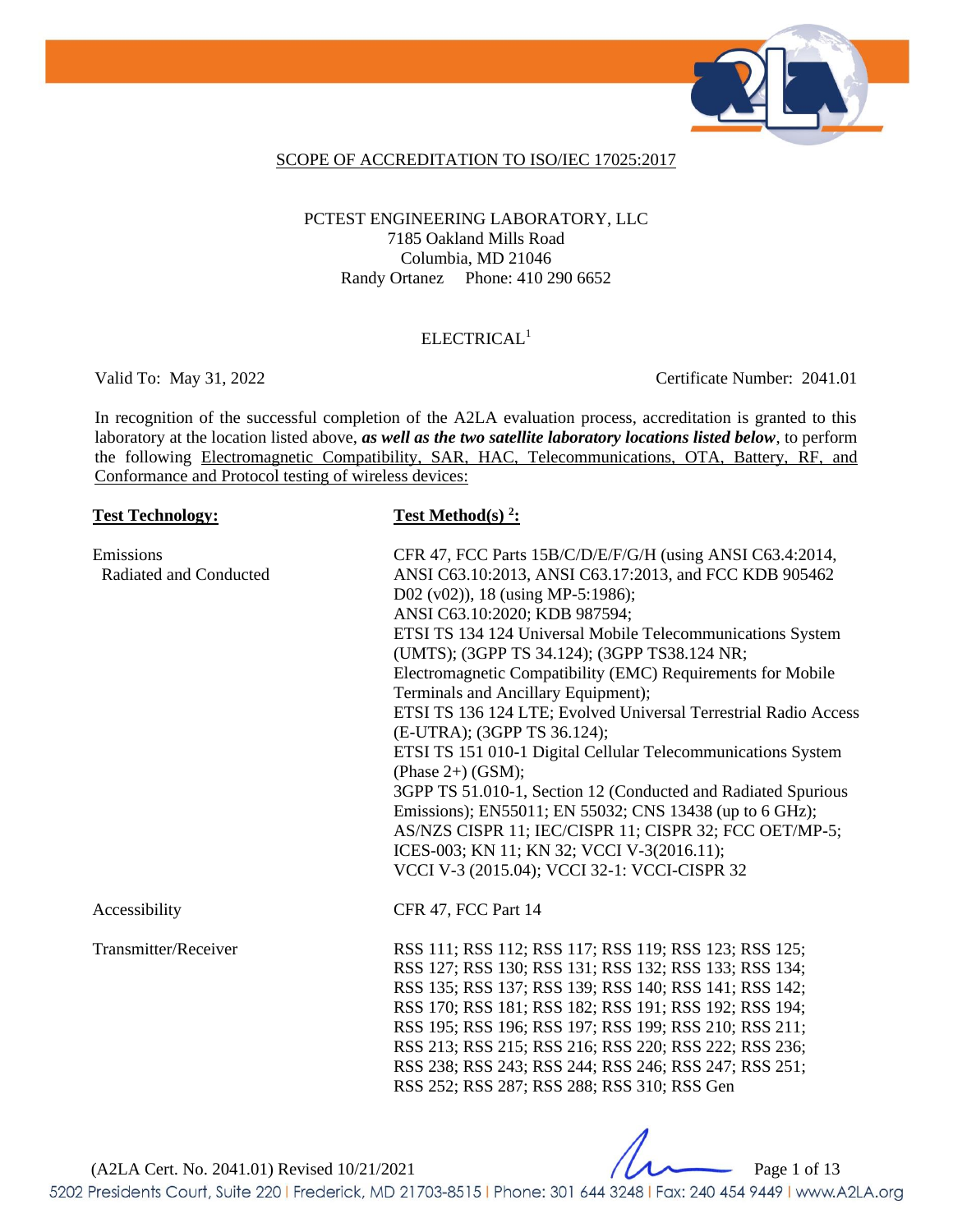

#### SCOPE OF ACCREDITATION TO ISO/IEC 17025:2017

#### PCTEST ENGINEERING LABORATORY, LLC 7185 Oakland Mills Road Columbia, MD 21046 Randy Ortanez Phone: 410 290 6652

### ELECTRICAL<sup>1</sup>

Valid To: May 31, 2022 Certificate Number: 2041.01

In recognition of the successful completion of the A2LA evaluation process, accreditation is granted to this laboratory at the location listed above, *as well as the two satellite laboratory locations listed below*, to perform the following Electromagnetic Compatibility, SAR, HAC, Telecommunications, OTA, Battery, RF, and Conformance and Protocol testing of wireless devices:

| <b>Test Technology:</b>             | <b>Test Method(s)</b> $2$ :                                                                                                                                                                                                                                                                                                                                                                                                                                                                                                                                                                                                                                                                                                                                                                                                                                                                 |
|-------------------------------------|---------------------------------------------------------------------------------------------------------------------------------------------------------------------------------------------------------------------------------------------------------------------------------------------------------------------------------------------------------------------------------------------------------------------------------------------------------------------------------------------------------------------------------------------------------------------------------------------------------------------------------------------------------------------------------------------------------------------------------------------------------------------------------------------------------------------------------------------------------------------------------------------|
| Emissions<br>Radiated and Conducted | CFR 47, FCC Parts 15B/C/D/E/F/G/H (using ANSI C63.4:2014,<br>ANSI C63.10:2013, ANSI C63.17:2013, and FCC KDB 905462<br>D02 (v02)), 18 (using MP-5:1986);<br>ANSI C63.10:2020; KDB 987594;<br>ETSI TS 134 124 Universal Mobile Telecommunications System<br>(UMTS); (3GPP TS 34.124); (3GPP TS38.124 NR;<br>Electromagnetic Compatibility (EMC) Requirements for Mobile<br>Terminals and Ancillary Equipment);<br>ETSI TS 136 124 LTE; Evolved Universal Terrestrial Radio Access<br>(E-UTRA); (3GPP TS 36.124);<br>ETSI TS 151 010-1 Digital Cellular Telecommunications System<br>(Phase $2+$ ) (GSM);<br>3GPP TS 51.010-1, Section 12 (Conducted and Radiated Spurious<br>Emissions); EN55011; EN 55032; CNS 13438 (up to 6 GHz);<br>AS/NZS CISPR 11; IEC/CISPR 11; CISPR 32; FCC OET/MP-5;<br>ICES-003; KN 11; KN 32; VCCI V-3(2016.11);<br>VCCI V-3 (2015.04); VCCI 32-1: VCCI-CISPR 32 |
| Accessibility                       | CFR 47, FCC Part 14                                                                                                                                                                                                                                                                                                                                                                                                                                                                                                                                                                                                                                                                                                                                                                                                                                                                         |
| Transmitter/Receiver                | RSS 111; RSS 112; RSS 117; RSS 119; RSS 123; RSS 125;<br>RSS 127; RSS 130; RSS 131; RSS 132; RSS 133; RSS 134;<br>RSS 135; RSS 137; RSS 139; RSS 140; RSS 141; RSS 142;<br>RSS 170; RSS 181; RSS 182; RSS 191; RSS 192; RSS 194;<br>RSS 195; RSS 196; RSS 197; RSS 199; RSS 210; RSS 211;<br>RSS 213; RSS 215; RSS 216; RSS 220; RSS 222; RSS 236;<br>RSS 238; RSS 243; RSS 244; RSS 246; RSS 247; RSS 251;<br>RSS 252; RSS 287; RSS 288; RSS 310; RSS Gen                                                                                                                                                                                                                                                                                                                                                                                                                                  |

(A2LA Cert. No. 2041.01) Revised 10/21/2021 Page 1 of 13

5202 Presidents Court, Suite 220 | Frederick, MD 21703-8515 | Phone: 301 644 3248 | Fax: 240 454 9449 | www.A2LA.org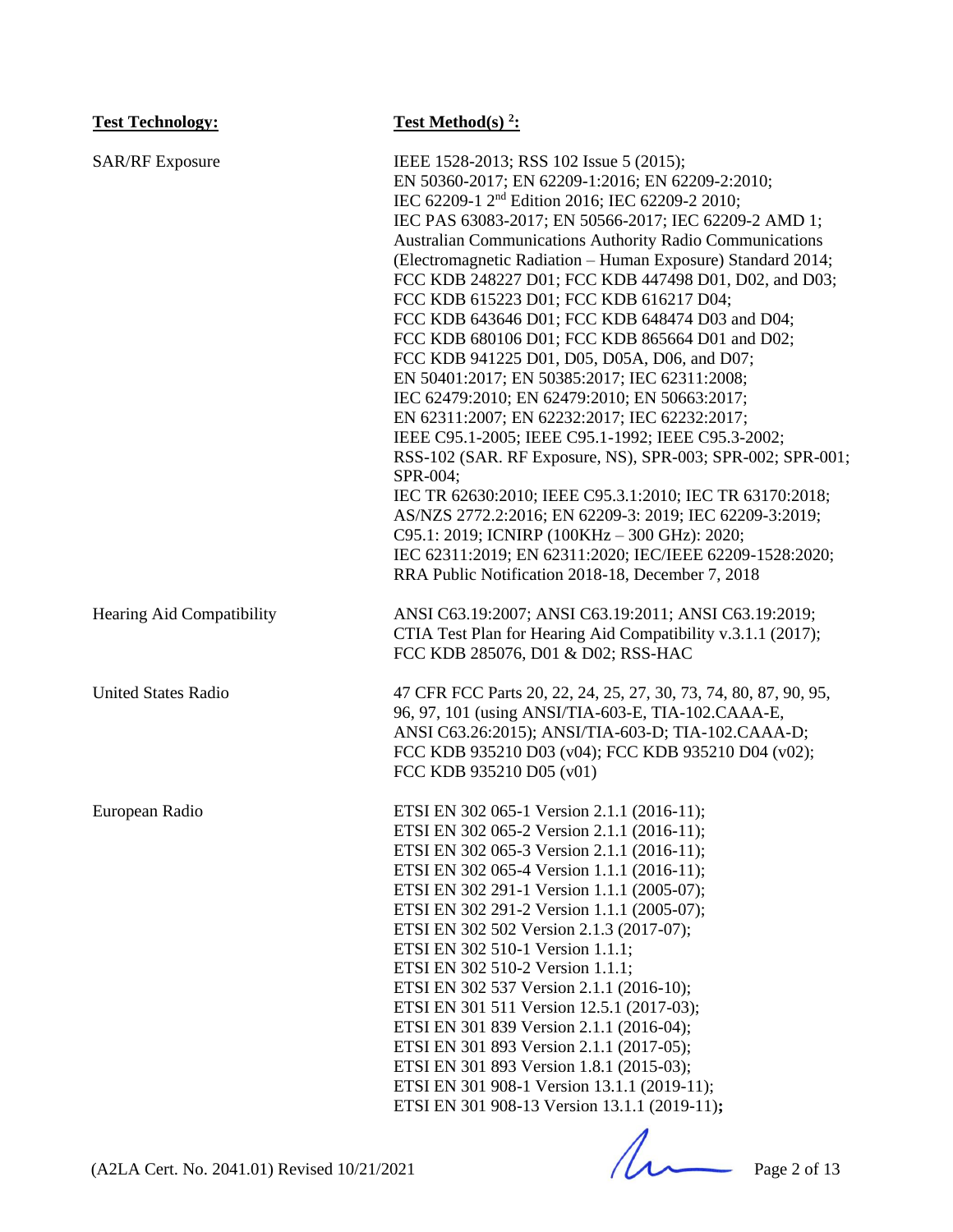| <b>Test Technology:</b>    | Test Method(s) $2$ :                                                                                                                                                                                                                                                                                                                                                                                                                                                                                                                                                                                                                                                                                                                                                                                                                                                                                                                                                                                                                                                                                                                                                                        |
|----------------------------|---------------------------------------------------------------------------------------------------------------------------------------------------------------------------------------------------------------------------------------------------------------------------------------------------------------------------------------------------------------------------------------------------------------------------------------------------------------------------------------------------------------------------------------------------------------------------------------------------------------------------------------------------------------------------------------------------------------------------------------------------------------------------------------------------------------------------------------------------------------------------------------------------------------------------------------------------------------------------------------------------------------------------------------------------------------------------------------------------------------------------------------------------------------------------------------------|
| <b>SAR/RF</b> Exposure     | IEEE 1528-2013; RSS 102 Issue 5 (2015);<br>EN 50360-2017; EN 62209-1:2016; EN 62209-2:2010;<br>IEC 62209-1 2 <sup>nd</sup> Edition 2016; IEC 62209-2 2010;<br>IEC PAS 63083-2017; EN 50566-2017; IEC 62209-2 AMD 1;<br><b>Australian Communications Authority Radio Communications</b><br>(Electromagnetic Radiation - Human Exposure) Standard 2014;<br>FCC KDB 248227 D01; FCC KDB 447498 D01, D02, and D03;<br>FCC KDB 615223 D01; FCC KDB 616217 D04;<br>FCC KDB 643646 D01; FCC KDB 648474 D03 and D04;<br>FCC KDB 680106 D01; FCC KDB 865664 D01 and D02;<br>FCC KDB 941225 D01, D05, D05A, D06, and D07;<br>EN 50401:2017; EN 50385:2017; IEC 62311:2008;<br>IEC 62479:2010; EN 62479:2010; EN 50663:2017;<br>EN 62311:2007; EN 62232:2017; IEC 62232:2017;<br>IEEE C95.1-2005; IEEE C95.1-1992; IEEE C95.3-2002;<br>RSS-102 (SAR. RF Exposure, NS), SPR-003; SPR-002; SPR-001;<br>SPR-004;<br>IEC TR 62630:2010; IEEE C95.3.1:2010; IEC TR 63170:2018;<br>AS/NZS 2772.2:2016; EN 62209-3: 2019; IEC 62209-3:2019;<br>C95.1: 2019; ICNIRP (100KHz - 300 GHz): 2020;<br>IEC 62311:2019; EN 62311:2020; IEC/IEEE 62209-1528:2020;<br>RRA Public Notification 2018-18, December 7, 2018 |
| Hearing Aid Compatibility  | ANSI C63.19:2007; ANSI C63.19:2011; ANSI C63.19:2019;<br>CTIA Test Plan for Hearing Aid Compatibility v.3.1.1 (2017);<br>FCC KDB 285076, D01 & D02; RSS-HAC                                                                                                                                                                                                                                                                                                                                                                                                                                                                                                                                                                                                                                                                                                                                                                                                                                                                                                                                                                                                                                 |
| <b>United States Radio</b> | 47 CFR FCC Parts 20, 22, 24, 25, 27, 30, 73, 74, 80, 87, 90, 95,<br>96, 97, 101 (using ANSI/TIA-603-E, TIA-102.CAAA-E,<br>ANSI C63.26:2015); ANSI/TIA-603-D; TIA-102.CAAA-D;<br>FCC KDB 935210 D03 (v04); FCC KDB 935210 D04 (v02);<br>FCC KDB 935210 D05 (v01)                                                                                                                                                                                                                                                                                                                                                                                                                                                                                                                                                                                                                                                                                                                                                                                                                                                                                                                             |
| European Radio             | ETSI EN 302 065-1 Version 2.1.1 (2016-11);<br>ETSI EN 302 065-2 Version 2.1.1 (2016-11);<br>ETSI EN 302 065-3 Version 2.1.1 (2016-11);<br>ETSI EN 302 065-4 Version 1.1.1 (2016-11);<br>ETSI EN 302 291-1 Version 1.1.1 (2005-07);<br>ETSI EN 302 291-2 Version 1.1.1 (2005-07);<br>ETSI EN 302 502 Version 2.1.3 (2017-07);<br>ETSI EN 302 510-1 Version 1.1.1;<br>ETSI EN 302 510-2 Version 1.1.1;<br>ETSI EN 302 537 Version 2.1.1 (2016-10);<br>ETSI EN 301 511 Version 12.5.1 (2017-03);<br>ETSI EN 301 839 Version 2.1.1 (2016-04);<br>ETSI EN 301 893 Version 2.1.1 (2017-05);<br>ETSI EN 301 893 Version 1.8.1 (2015-03);<br>ETSI EN 301 908-1 Version 13.1.1 (2019-11);<br>ETSI EN 301 908-13 Version 13.1.1 (2019-11);                                                                                                                                                                                                                                                                                                                                                                                                                                                            |

(A2LA Cert. No. 2041.01) Revised 10/21/2021 Page 2 of 13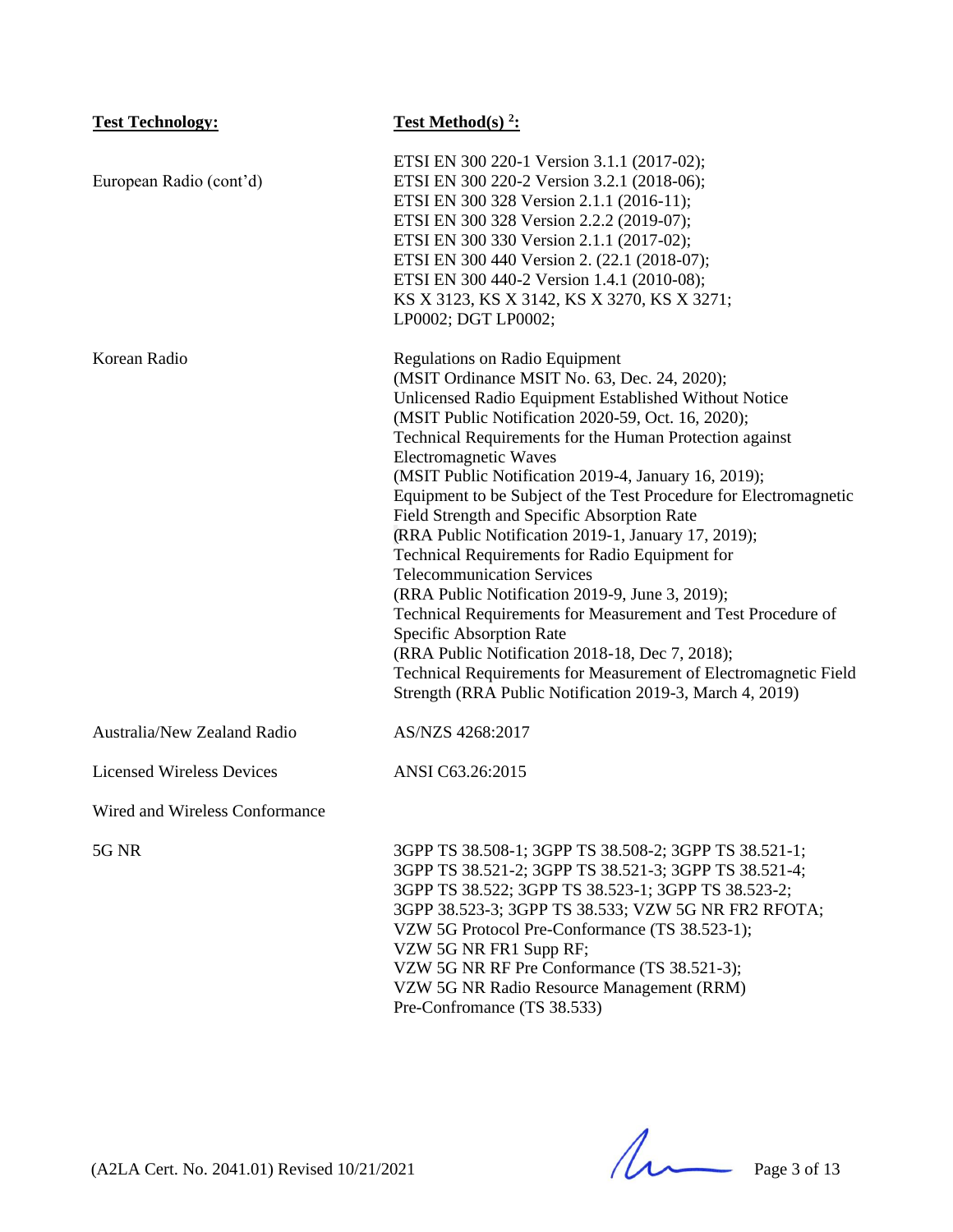| <b>Test Technology:</b>          | <b>Test Method(s) <sup>2</sup>:</b>                                                                                                                                                                                                                                                                                                                                                                                                                                                                                                                                                                                                                                                                                                                                                                                                                                                                                                                        |
|----------------------------------|------------------------------------------------------------------------------------------------------------------------------------------------------------------------------------------------------------------------------------------------------------------------------------------------------------------------------------------------------------------------------------------------------------------------------------------------------------------------------------------------------------------------------------------------------------------------------------------------------------------------------------------------------------------------------------------------------------------------------------------------------------------------------------------------------------------------------------------------------------------------------------------------------------------------------------------------------------|
| European Radio (cont'd)          | ETSI EN 300 220-1 Version 3.1.1 (2017-02);<br>ETSI EN 300 220-2 Version 3.2.1 (2018-06);<br>ETSI EN 300 328 Version 2.1.1 (2016-11);<br>ETSI EN 300 328 Version 2.2.2 (2019-07);<br>ETSI EN 300 330 Version 2.1.1 (2017-02);<br>ETSI EN 300 440 Version 2. (22.1 (2018-07);<br>ETSI EN 300 440-2 Version 1.4.1 (2010-08);<br>KS X 3123, KS X 3142, KS X 3270, KS X 3271;<br>LP0002; DGT LP0002;                                                                                                                                                                                                                                                                                                                                                                                                                                                                                                                                                            |
| Korean Radio                     | <b>Regulations on Radio Equipment</b><br>(MSIT Ordinance MSIT No. 63, Dec. 24, 2020);<br>Unlicensed Radio Equipment Established Without Notice<br>(MSIT Public Notification 2020-59, Oct. 16, 2020);<br>Technical Requirements for the Human Protection against<br><b>Electromagnetic Waves</b><br>(MSIT Public Notification 2019-4, January 16, 2019);<br>Equipment to be Subject of the Test Procedure for Electromagnetic<br>Field Strength and Specific Absorption Rate<br>(RRA Public Notification 2019-1, January 17, 2019);<br>Technical Requirements for Radio Equipment for<br><b>Telecommunication Services</b><br>(RRA Public Notification 2019-9, June 3, 2019);<br>Technical Requirements for Measurement and Test Procedure of<br>Specific Absorption Rate<br>(RRA Public Notification 2018-18, Dec 7, 2018);<br>Technical Requirements for Measurement of Electromagnetic Field<br>Strength (RRA Public Notification 2019-3, March 4, 2019) |
| Australia/New Zealand Radio      | AS/NZS 4268:2017                                                                                                                                                                                                                                                                                                                                                                                                                                                                                                                                                                                                                                                                                                                                                                                                                                                                                                                                           |
| <b>Licensed Wireless Devices</b> | ANSI C63.26:2015                                                                                                                                                                                                                                                                                                                                                                                                                                                                                                                                                                                                                                                                                                                                                                                                                                                                                                                                           |
| Wired and Wireless Conformance   |                                                                                                                                                                                                                                                                                                                                                                                                                                                                                                                                                                                                                                                                                                                                                                                                                                                                                                                                                            |
| 5G NR                            | 3GPP TS 38.508-1; 3GPP TS 38.508-2; 3GPP TS 38.521-1;<br>3GPP TS 38.521-2; 3GPP TS 38.521-3; 3GPP TS 38.521-4;<br>3GPP TS 38.522; 3GPP TS 38.523-1; 3GPP TS 38.523-2;<br>3GPP 38.523-3; 3GPP TS 38.533; VZW 5G NR FR2 RFOTA;<br>VZW 5G Protocol Pre-Conformance (TS 38.523-1);<br>VZW 5G NR FR1 Supp RF;<br>VZW 5G NR RF Pre Conformance (TS 38.521-3);<br>VZW 5G NR Radio Resource Management (RRM)<br>Pre-Confromance (TS 38.533)                                                                                                                                                                                                                                                                                                                                                                                                                                                                                                                        |

(A2LA Cert. No. 2041.01) Revised 10/21/2021 Page 3 of 13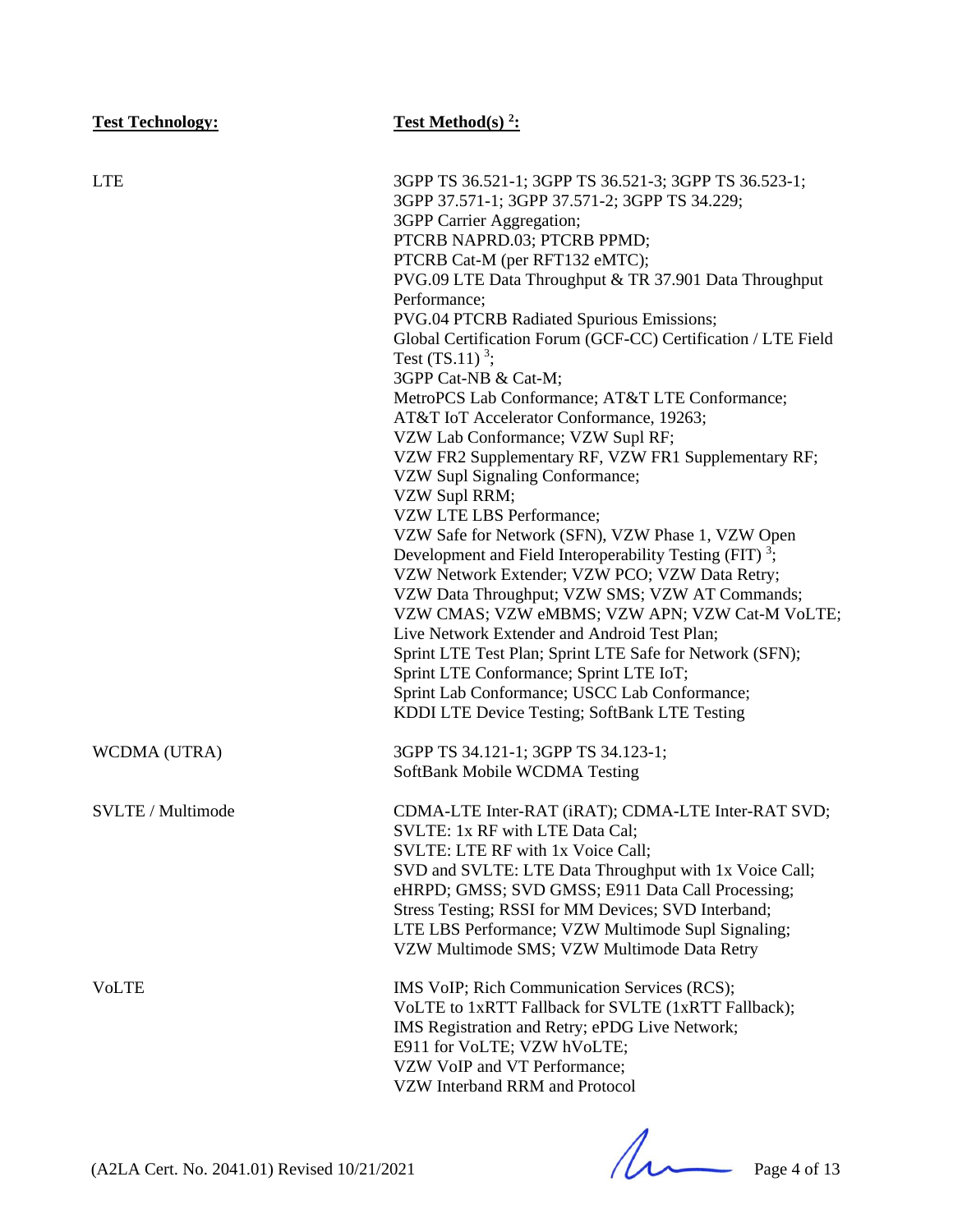| <b>Test Technology:</b> | Test Method(s) $2$ :                                                                                                                                                                                                                                                                                                                                                                                                                                                                                                                                                                                                                                                                                                                                                                                                                                                                                                                                                                                                                                                                                                                                                                                            |
|-------------------------|-----------------------------------------------------------------------------------------------------------------------------------------------------------------------------------------------------------------------------------------------------------------------------------------------------------------------------------------------------------------------------------------------------------------------------------------------------------------------------------------------------------------------------------------------------------------------------------------------------------------------------------------------------------------------------------------------------------------------------------------------------------------------------------------------------------------------------------------------------------------------------------------------------------------------------------------------------------------------------------------------------------------------------------------------------------------------------------------------------------------------------------------------------------------------------------------------------------------|
| <b>LTE</b>              | 3GPP TS 36.521-1; 3GPP TS 36.521-3; 3GPP TS 36.523-1;<br>3GPP 37.571-1; 3GPP 37.571-2; 3GPP TS 34.229;<br>3GPP Carrier Aggregation;<br>PTCRB NAPRD.03; PTCRB PPMD;<br>PTCRB Cat-M (per RFT132 eMTC);<br>PVG.09 LTE Data Throughput & TR 37.901 Data Throughput<br>Performance;<br>PVG.04 PTCRB Radiated Spurious Emissions;<br>Global Certification Forum (GCF-CC) Certification / LTE Field<br>Test $(TS.11)^3$ ;<br>3GPP Cat-NB & Cat-M;<br>MetroPCS Lab Conformance; AT&T LTE Conformance;<br>AT&T IoT Accelerator Conformance, 19263;<br>VZW Lab Conformance; VZW Supl RF;<br>VZW FR2 Supplementary RF, VZW FR1 Supplementary RF;<br>VZW Supl Signaling Conformance;<br>VZW Supl RRM;<br>VZW LTE LBS Performance;<br>VZW Safe for Network (SFN), VZW Phase 1, VZW Open<br>Development and Field Interoperability Testing (FIT) <sup>3</sup> ;<br>VZW Network Extender; VZW PCO; VZW Data Retry;<br>VZW Data Throughput; VZW SMS; VZW AT Commands;<br>VZW CMAS; VZW eMBMS; VZW APN; VZW Cat-M VoLTE;<br>Live Network Extender and Android Test Plan;<br>Sprint LTE Test Plan; Sprint LTE Safe for Network (SFN);<br>Sprint LTE Conformance; Sprint LTE IoT;<br>Sprint Lab Conformance; USCC Lab Conformance; |
| WCDMA (UTRA)            | KDDI LTE Device Testing; SoftBank LTE Testing<br>3GPP TS 34.121-1; 3GPP TS 34.123-1;<br>SoftBank Mobile WCDMA Testing                                                                                                                                                                                                                                                                                                                                                                                                                                                                                                                                                                                                                                                                                                                                                                                                                                                                                                                                                                                                                                                                                           |
| SVLTE / Multimode       | CDMA-LTE Inter-RAT (iRAT); CDMA-LTE Inter-RAT SVD;<br>SVLTE: 1x RF with LTE Data Cal;<br>SVLTE: LTE RF with 1x Voice Call;<br>SVD and SVLTE: LTE Data Throughput with 1x Voice Call;<br>eHRPD; GMSS; SVD GMSS; E911 Data Call Processing;<br>Stress Testing; RSSI for MM Devices; SVD Interband;<br>LTE LBS Performance; VZW Multimode Supl Signaling;<br>VZW Multimode SMS; VZW Multimode Data Retry                                                                                                                                                                                                                                                                                                                                                                                                                                                                                                                                                                                                                                                                                                                                                                                                           |
| <b>VoLTE</b>            | IMS VoIP; Rich Communication Services (RCS);<br>VoLTE to 1xRTT Fallback for SVLTE (1xRTT Fallback);<br>IMS Registration and Retry; ePDG Live Network;<br>E911 for VoLTE; VZW hVoLTE;<br>VZW VoIP and VT Performance;<br>VZW Interband RRM and Protocol                                                                                                                                                                                                                                                                                                                                                                                                                                                                                                                                                                                                                                                                                                                                                                                                                                                                                                                                                          |

 $(A2LA$  Cert. No. 2041.01) Revised 10/21/2021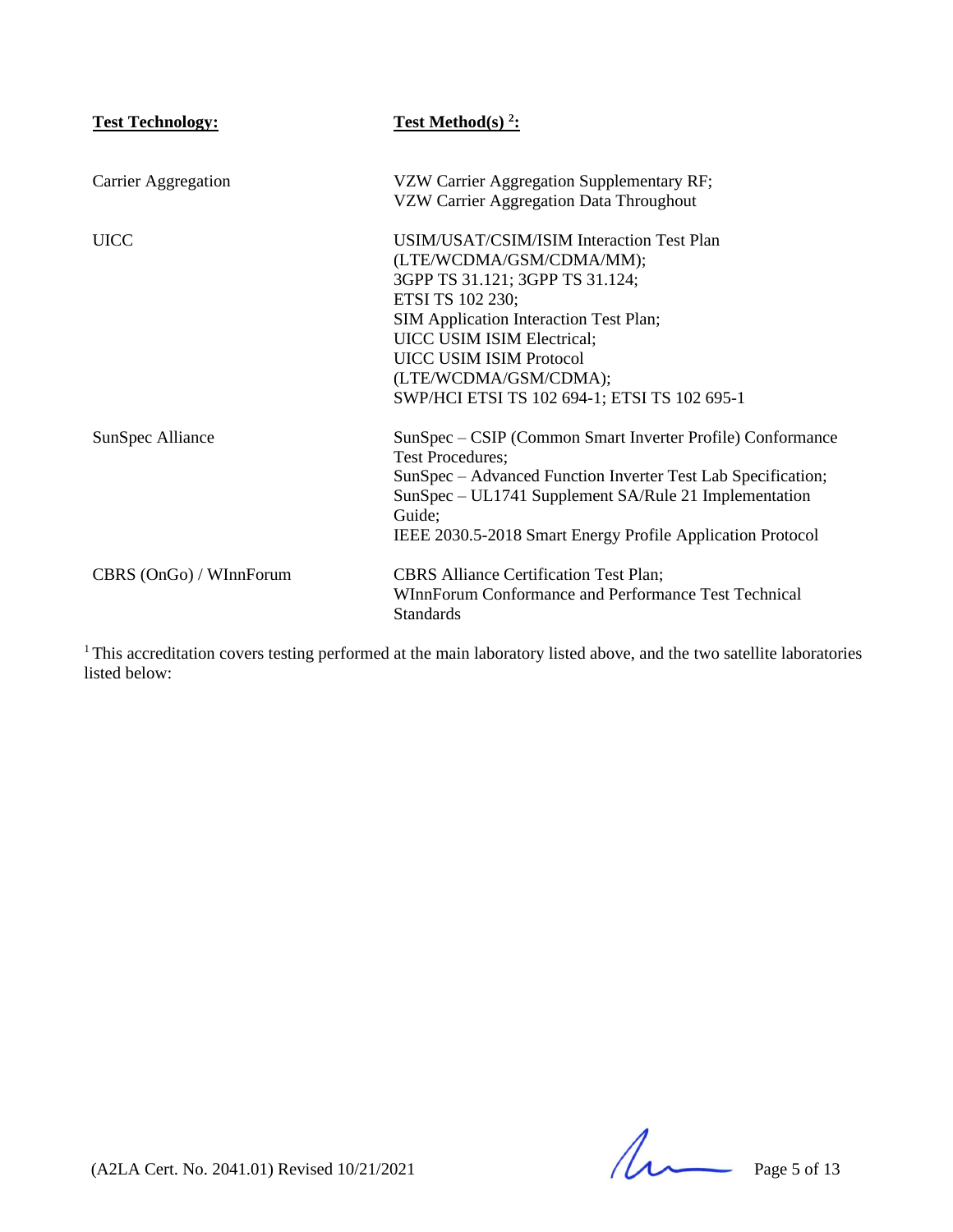| <b>Test Technology:</b> | <b>Test Method(s)</b> $2$ :                                                                                                                                                                                                                                                                                     |
|-------------------------|-----------------------------------------------------------------------------------------------------------------------------------------------------------------------------------------------------------------------------------------------------------------------------------------------------------------|
| Carrier Aggregation     | VZW Carrier Aggregation Supplementary RF;<br>VZW Carrier Aggregation Data Throughout                                                                                                                                                                                                                            |
| <b>UICC</b>             | USIM/USAT/CSIM/ISIM Interaction Test Plan<br>(LTE/WCDMA/GSM/CDMA/MM);<br>3GPP TS 31.121; 3GPP TS 31.124;<br>ETSI TS 102 230;<br>SIM Application Interaction Test Plan;<br>UICC USIM ISIM Electrical;<br><b>UICC USIM ISIM Protocol</b><br>(LTE/WCDMA/GSM/CDMA);<br>SWP/HCI ETSI TS 102 694-1; ETSI TS 102 695-1 |
| SunSpec Alliance        | SunSpec – CSIP (Common Smart Inverter Profile) Conformance<br><b>Test Procedures;</b><br>SunSpec – Advanced Function Inverter Test Lab Specification;<br>SunSpec – UL1741 Supplement SA/Rule 21 Implementation<br>Guide;<br>IEEE 2030.5-2018 Smart Energy Profile Application Protocol                          |
| CBRS (OnGo) / WInnForum | <b>CBRS</b> Alliance Certification Test Plan;<br>WInnForum Conformance and Performance Test Technical<br><b>Standards</b>                                                                                                                                                                                       |

 $1$ This accreditation covers testing performed at the main laboratory listed above, and the two satellite laboratories listed below:

 $(A2LA$  Cert. No. 2041.01) Revised  $10/21/2021$  Page 5 of 13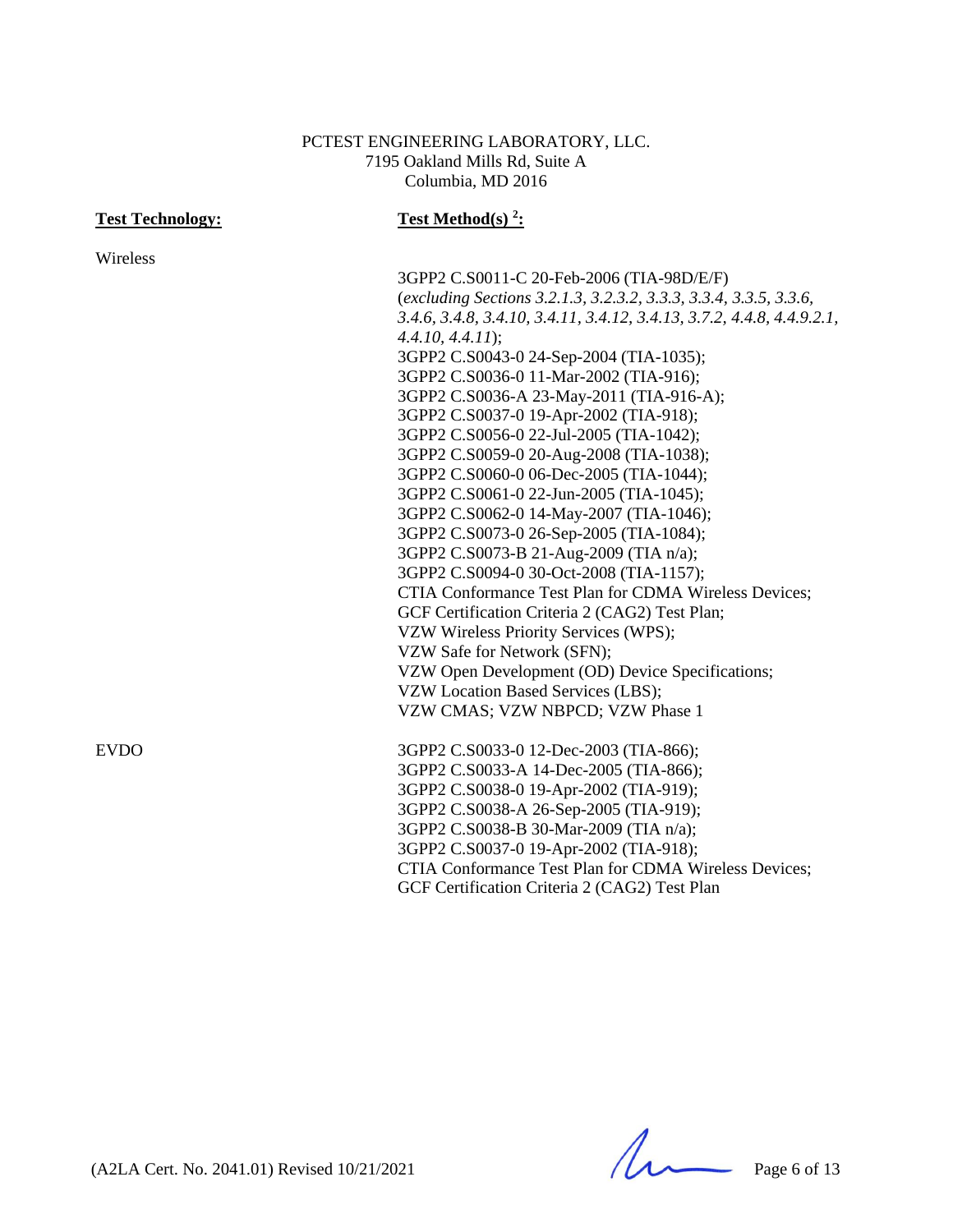### PCTEST ENGINEERING LABORATORY, LLC. 7195 Oakland Mills Rd, Suite A Columbia, MD 2016

| <b>Test Technology:</b> | <b>Test Method(s)</b> $2$ :                                            |
|-------------------------|------------------------------------------------------------------------|
| Wireless                |                                                                        |
|                         | 3GPP2 C.S0011-C 20-Feb-2006 (TIA-98D/E/F)                              |
|                         | (excluding Sections 3.2.1.3, 3.2.3.2, 3.3.3, 3.3.4, 3.3.5, 3.3.6,      |
|                         | 3.4.6, 3.4.8, 3.4.10, 3.4.11, 3.4.12, 3.4.13, 3.7.2, 4.4.8, 4.4.9.2.1, |
|                         | $4.4.10, 4.4.11$ ;                                                     |
|                         | 3GPP2 C.S0043-0 24-Sep-2004 (TIA-1035);                                |
|                         | 3GPP2 C.S0036-0 11-Mar-2002 (TIA-916);                                 |
|                         | 3GPP2 C.S0036-A 23-May-2011 (TIA-916-A);                               |
|                         | 3GPP2 C.S0037-0 19-Apr-2002 (TIA-918);                                 |
|                         | 3GPP2 C.S0056-0 22-Jul-2005 (TIA-1042);                                |
|                         | 3GPP2 C.S0059-0 20-Aug-2008 (TIA-1038);                                |
|                         | 3GPP2 C.S0060-0 06-Dec-2005 (TIA-1044);                                |
|                         | 3GPP2 C.S0061-0 22-Jun-2005 (TIA-1045);                                |
|                         | 3GPP2 C.S0062-0 14-May-2007 (TIA-1046);                                |
|                         | 3GPP2 C.S0073-0 26-Sep-2005 (TIA-1084);                                |
|                         | 3GPP2 C.S0073-B 21-Aug-2009 (TIA n/a);                                 |
|                         | 3GPP2 C.S0094-0 30-Oct-2008 (TIA-1157);                                |
|                         | CTIA Conformance Test Plan for CDMA Wireless Devices;                  |
|                         | GCF Certification Criteria 2 (CAG2) Test Plan;                         |
|                         | VZW Wireless Priority Services (WPS);                                  |
|                         | VZW Safe for Network (SFN);                                            |
|                         | VZW Open Development (OD) Device Specifications;                       |
|                         | VZW Location Based Services (LBS);                                     |
|                         | VZW CMAS; VZW NBPCD; VZW Phase 1                                       |
| <b>EVDO</b>             | 3GPP2 C.S0033-0 12-Dec-2003 (TIA-866);                                 |
|                         | 3GPP2 C.S0033-A 14-Dec-2005 (TIA-866);                                 |
|                         | 3GPP2 C.S0038-0 19-Apr-2002 (TIA-919);                                 |
|                         | 3GPP2 C.S0038-A 26-Sep-2005 (TIA-919);                                 |
|                         | 3GPP2 C.S0038-B 30-Mar-2009 (TIA n/a);                                 |
|                         | 3GPP2 C.S0037-0 19-Apr-2002 (TIA-918);                                 |
|                         | CTIA Conformance Test Plan for CDMA Wireless Devices;                  |
|                         | GCF Certification Criteria 2 (CAG2) Test Plan                          |

 $(A2LA$  Cert. No. 2041.01) Revised  $10/21/2021$  Page 6 of 13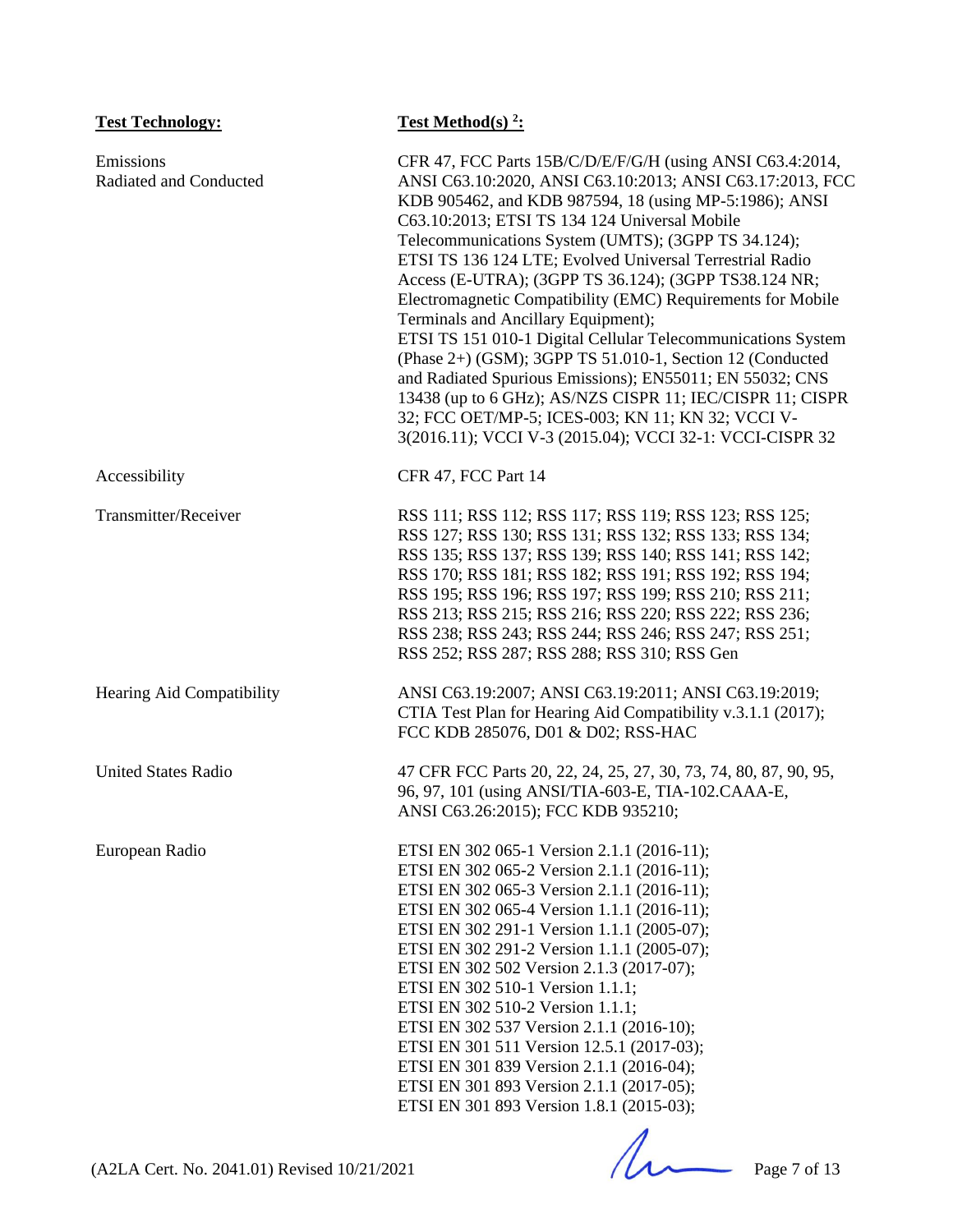| <b>Test Technology:</b>             | Test Method(s) <sup>2</sup> :                                                                                                                                                                                                                                                                                                                                                                                                                                                                                                                                                                                                                                                                                                                                                                                                                                                              |
|-------------------------------------|--------------------------------------------------------------------------------------------------------------------------------------------------------------------------------------------------------------------------------------------------------------------------------------------------------------------------------------------------------------------------------------------------------------------------------------------------------------------------------------------------------------------------------------------------------------------------------------------------------------------------------------------------------------------------------------------------------------------------------------------------------------------------------------------------------------------------------------------------------------------------------------------|
| Emissions<br>Radiated and Conducted | CFR 47, FCC Parts 15B/C/D/E/F/G/H (using ANSI C63.4:2014,<br>ANSI C63.10:2020, ANSI C63.10:2013; ANSI C63.17:2013, FCC<br>KDB 905462, and KDB 987594, 18 (using MP-5:1986); ANSI<br>C63.10:2013; ETSI TS 134 124 Universal Mobile<br>Telecommunications System (UMTS); (3GPP TS 34.124);<br>ETSI TS 136 124 LTE; Evolved Universal Terrestrial Radio<br>Access (E-UTRA); (3GPP TS 36.124); (3GPP TS38.124 NR;<br>Electromagnetic Compatibility (EMC) Requirements for Mobile<br>Terminals and Ancillary Equipment);<br>ETSI TS 151 010-1 Digital Cellular Telecommunications System<br>(Phase 2+) (GSM); 3GPP TS 51.010-1, Section 12 (Conducted<br>and Radiated Spurious Emissions); EN55011; EN 55032; CNS<br>13438 (up to 6 GHz); AS/NZS CISPR 11; IEC/CISPR 11; CISPR<br>32; FCC OET/MP-5; ICES-003; KN 11; KN 32; VCCI V-<br>3(2016.11); VCCI V-3 (2015.04); VCCI 32-1: VCCI-CISPR 32 |
| Accessibility                       | CFR 47, FCC Part 14                                                                                                                                                                                                                                                                                                                                                                                                                                                                                                                                                                                                                                                                                                                                                                                                                                                                        |
| Transmitter/Receiver                | RSS 111; RSS 112; RSS 117; RSS 119; RSS 123; RSS 125;<br>RSS 127; RSS 130; RSS 131; RSS 132; RSS 133; RSS 134;<br>RSS 135; RSS 137; RSS 139; RSS 140; RSS 141; RSS 142;<br>RSS 170; RSS 181; RSS 182; RSS 191; RSS 192; RSS 194;<br>RSS 195; RSS 196; RSS 197; RSS 199; RSS 210; RSS 211;<br>RSS 213; RSS 215; RSS 216; RSS 220; RSS 222; RSS 236;<br>RSS 238; RSS 243; RSS 244; RSS 246; RSS 247; RSS 251;<br>RSS 252; RSS 287; RSS 288; RSS 310; RSS Gen                                                                                                                                                                                                                                                                                                                                                                                                                                 |
| Hearing Aid Compatibility           | ANSI C63.19:2007; ANSI C63.19:2011; ANSI C63.19:2019;<br>CTIA Test Plan for Hearing Aid Compatibility v.3.1.1 (2017);<br>FCC KDB 285076, D01 & D02; RSS-HAC                                                                                                                                                                                                                                                                                                                                                                                                                                                                                                                                                                                                                                                                                                                                |
| <b>United States Radio</b>          | 47 CFR FCC Parts 20, 22, 24, 25, 27, 30, 73, 74, 80, 87, 90, 95,<br>96, 97, 101 (using ANSI/TIA-603-E, TIA-102.CAAA-E,<br>ANSI C63.26:2015); FCC KDB 935210;                                                                                                                                                                                                                                                                                                                                                                                                                                                                                                                                                                                                                                                                                                                               |
| European Radio                      | ETSI EN 302 065-1 Version 2.1.1 (2016-11);<br>ETSI EN 302 065-2 Version 2.1.1 (2016-11);<br>ETSI EN 302 065-3 Version 2.1.1 (2016-11);<br>ETSI EN 302 065-4 Version 1.1.1 (2016-11);<br>ETSI EN 302 291-1 Version 1.1.1 (2005-07);<br>ETSI EN 302 291-2 Version 1.1.1 (2005-07);<br>ETSI EN 302 502 Version 2.1.3 (2017-07);<br>ETSI EN 302 510-1 Version 1.1.1;<br>ETSI EN 302 510-2 Version 1.1.1;<br>ETSI EN 302 537 Version 2.1.1 (2016-10);<br>ETSI EN 301 511 Version 12.5.1 (2017-03);<br>ETSI EN 301 839 Version 2.1.1 (2016-04);<br>ETSI EN 301 893 Version 2.1.1 (2017-05);<br>ETSI EN 301 893 Version 1.8.1 (2015-03);                                                                                                                                                                                                                                                          |

(A2LA Cert. No. 2041.01) Revised 10/21/2021 Page 7 of 13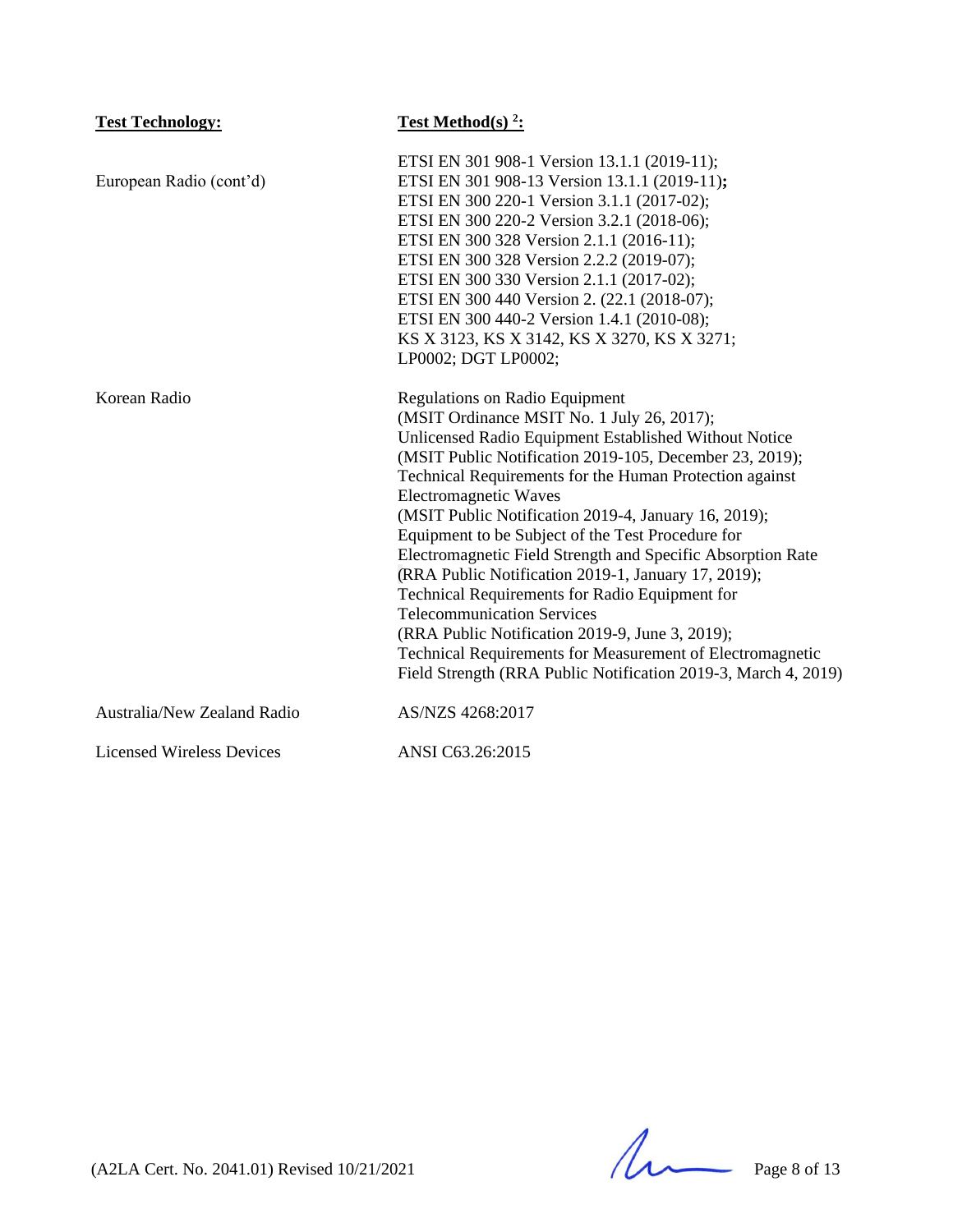| <b>Test Technology:</b>          | Test Method(s) $2$ :                                           |
|----------------------------------|----------------------------------------------------------------|
|                                  | ETSI EN 301 908-1 Version 13.1.1 (2019-11);                    |
| European Radio (cont'd)          | ETSI EN 301 908-13 Version 13.1.1 (2019-11);                   |
|                                  | ETSI EN 300 220-1 Version 3.1.1 (2017-02);                     |
|                                  | ETSI EN 300 220-2 Version 3.2.1 (2018-06);                     |
|                                  | ETSI EN 300 328 Version 2.1.1 (2016-11);                       |
|                                  | ETSI EN 300 328 Version 2.2.2 (2019-07);                       |
|                                  | ETSI EN 300 330 Version 2.1.1 (2017-02);                       |
|                                  | ETSI EN 300 440 Version 2. (22.1 (2018-07);                    |
|                                  | ETSI EN 300 440-2 Version 1.4.1 (2010-08);                     |
|                                  | KS X 3123, KS X 3142, KS X 3270, KS X 3271;                    |
|                                  | LP0002; DGT LP0002;                                            |
| Korean Radio                     | <b>Regulations on Radio Equipment</b>                          |
|                                  | (MSIT Ordinance MSIT No. 1 July 26, 2017);                     |
|                                  | Unlicensed Radio Equipment Established Without Notice          |
|                                  | (MSIT Public Notification 2019-105, December 23, 2019);        |
|                                  | Technical Requirements for the Human Protection against        |
|                                  | Electromagnetic Waves                                          |
|                                  | (MSIT Public Notification 2019-4, January 16, 2019);           |
|                                  | Equipment to be Subject of the Test Procedure for              |
|                                  | Electromagnetic Field Strength and Specific Absorption Rate    |
|                                  | (RRA Public Notification 2019-1, January 17, 2019);            |
|                                  | Technical Requirements for Radio Equipment for                 |
|                                  | <b>Telecommunication Services</b>                              |
|                                  | (RRA Public Notification 2019-9, June 3, 2019);                |
|                                  | Technical Requirements for Measurement of Electromagnetic      |
|                                  | Field Strength (RRA Public Notification 2019-3, March 4, 2019) |
| Australia/New Zealand Radio      | AS/NZS 4268:2017                                               |
| <b>Licensed Wireless Devices</b> | ANSI C63.26:2015                                               |

(A2LA Cert. No. 2041.01) Revised 10/21/2021 Page 8 of 13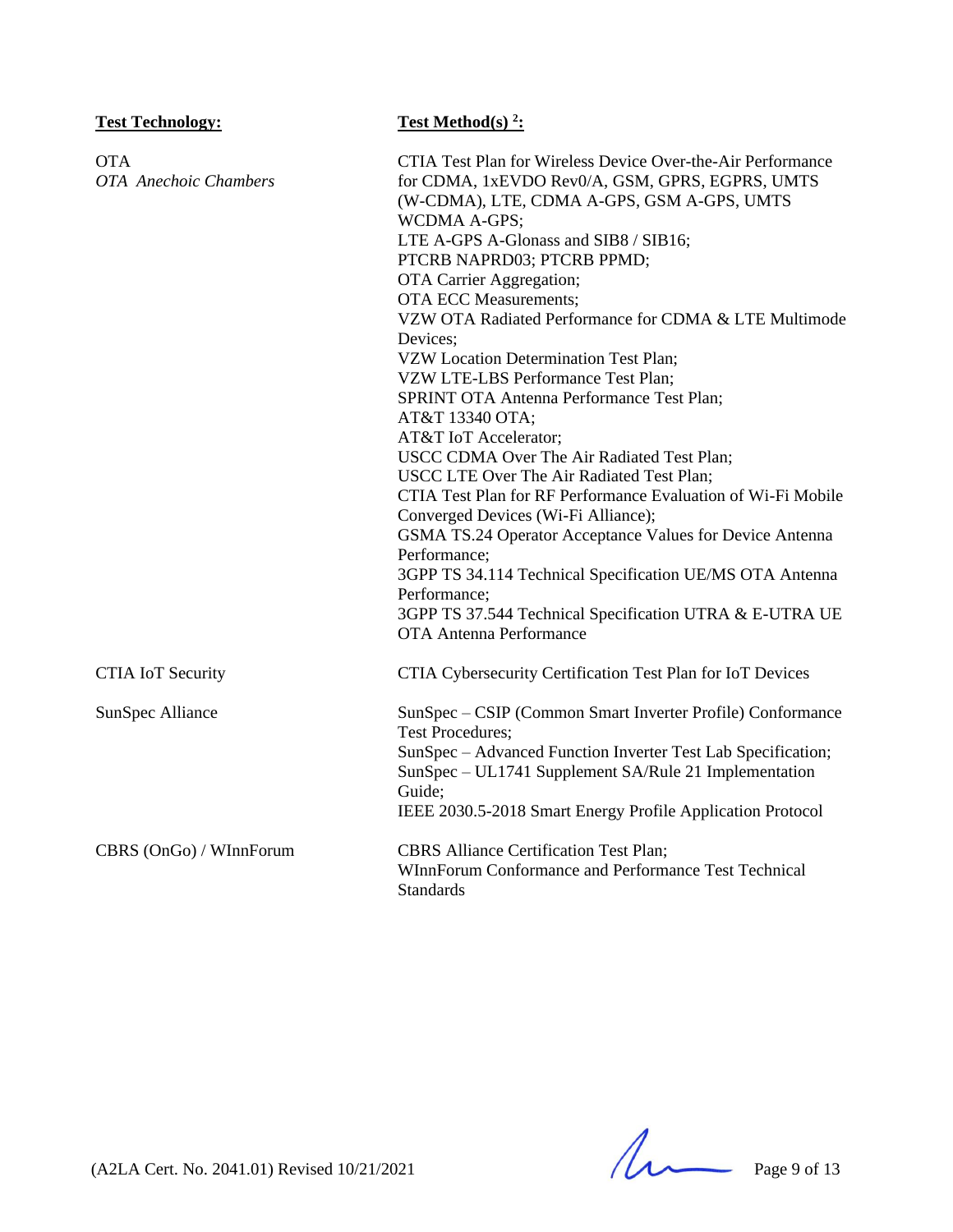| <b>Test Technology:</b>                    | <b>Test Method(s)</b> $2$ :                                                                                                                                                                                                                                                                                                                                                                                                                                                                                                                                                                                                                                                                                                                                                                                                                                                                                                                                                                                                |
|--------------------------------------------|----------------------------------------------------------------------------------------------------------------------------------------------------------------------------------------------------------------------------------------------------------------------------------------------------------------------------------------------------------------------------------------------------------------------------------------------------------------------------------------------------------------------------------------------------------------------------------------------------------------------------------------------------------------------------------------------------------------------------------------------------------------------------------------------------------------------------------------------------------------------------------------------------------------------------------------------------------------------------------------------------------------------------|
| <b>OTA</b><br><b>OTA</b> Anechoic Chambers | CTIA Test Plan for Wireless Device Over-the-Air Performance<br>for CDMA, 1xEVDO Rev0/A, GSM, GPRS, EGPRS, UMTS<br>(W-CDMA), LTE, CDMA A-GPS, GSM A-GPS, UMTS<br><b>WCDMA A-GPS;</b><br>LTE A-GPS A-Glonass and SIB8 / SIB16;<br>PTCRB NAPRD03; PTCRB PPMD;<br>OTA Carrier Aggregation;<br><b>OTA ECC Measurements;</b><br>VZW OTA Radiated Performance for CDMA & LTE Multimode<br>Devices:<br>VZW Location Determination Test Plan;<br>VZW LTE-LBS Performance Test Plan;<br>SPRINT OTA Antenna Performance Test Plan;<br>AT&T 13340 OTA;<br>AT&T IoT Accelerator;<br>USCC CDMA Over The Air Radiated Test Plan;<br>USCC LTE Over The Air Radiated Test Plan;<br>CTIA Test Plan for RF Performance Evaluation of Wi-Fi Mobile<br>Converged Devices (Wi-Fi Alliance);<br>GSMA TS.24 Operator Acceptance Values for Device Antenna<br>Performance;<br>3GPP TS 34.114 Technical Specification UE/MS OTA Antenna<br>Performance;<br>3GPP TS 37.544 Technical Specification UTRA & E-UTRA UE<br><b>OTA Antenna Performance</b> |
| <b>CTIA IoT Security</b>                   | CTIA Cybersecurity Certification Test Plan for IoT Devices                                                                                                                                                                                                                                                                                                                                                                                                                                                                                                                                                                                                                                                                                                                                                                                                                                                                                                                                                                 |
| SunSpec Alliance                           | SunSpec - CSIP (Common Smart Inverter Profile) Conformance<br><b>Test Procedures;</b><br>SunSpec - Advanced Function Inverter Test Lab Specification;<br>SunSpec - UL1741 Supplement SA/Rule 21 Implementation<br>Guide;<br>IEEE 2030.5-2018 Smart Energy Profile Application Protocol                                                                                                                                                                                                                                                                                                                                                                                                                                                                                                                                                                                                                                                                                                                                     |
| CBRS (OnGo) / WInnForum                    | <b>CBRS</b> Alliance Certification Test Plan;<br>WInnForum Conformance and Performance Test Technical<br>Standards                                                                                                                                                                                                                                                                                                                                                                                                                                                                                                                                                                                                                                                                                                                                                                                                                                                                                                         |

 $(A2LA$  Cert. No. 2041.01) Revised 10/21/2021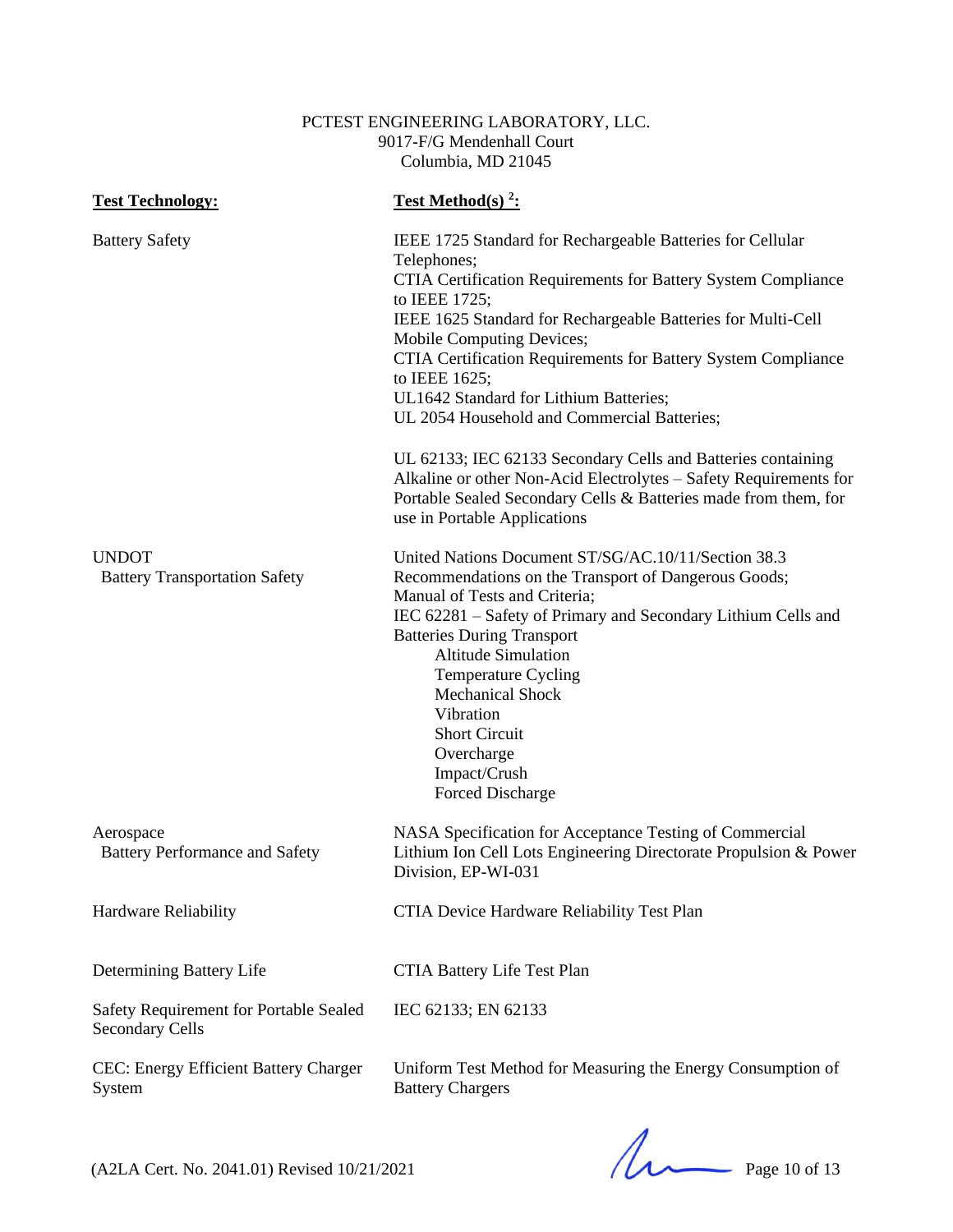### PCTEST ENGINEERING LABORATORY, LLC. 9017-F/G Mendenhall Court Columbia, MD 21045

| <b>Test Technology:</b>                                          | Test Method(s) <sup>2</sup> :                                                                                                                                                                                                                                                                                                                                                                                                           |
|------------------------------------------------------------------|-----------------------------------------------------------------------------------------------------------------------------------------------------------------------------------------------------------------------------------------------------------------------------------------------------------------------------------------------------------------------------------------------------------------------------------------|
| <b>Battery Safety</b>                                            | IEEE 1725 Standard for Rechargeable Batteries for Cellular<br>Telephones;<br>CTIA Certification Requirements for Battery System Compliance<br>to IEEE 1725;<br>IEEE 1625 Standard for Rechargeable Batteries for Multi-Cell<br>Mobile Computing Devices;<br>CTIA Certification Requirements for Battery System Compliance<br>to IEEE 1625;<br>UL1642 Standard for Lithium Batteries;<br>UL 2054 Household and Commercial Batteries;     |
|                                                                  | UL 62133; IEC 62133 Secondary Cells and Batteries containing<br>Alkaline or other Non-Acid Electrolytes - Safety Requirements for<br>Portable Sealed Secondary Cells & Batteries made from them, for<br>use in Portable Applications                                                                                                                                                                                                    |
| <b>UNDOT</b><br><b>Battery Transportation Safety</b>             | United Nations Document ST/SG/AC.10/11/Section 38.3<br>Recommendations on the Transport of Dangerous Goods;<br>Manual of Tests and Criteria;<br>IEC 62281 - Safety of Primary and Secondary Lithium Cells and<br><b>Batteries During Transport</b><br><b>Altitude Simulation</b><br><b>Temperature Cycling</b><br><b>Mechanical Shock</b><br>Vibration<br><b>Short Circuit</b><br>Overcharge<br>Impact/Crush<br><b>Forced Discharge</b> |
| Aerospace<br><b>Battery Performance and Safety</b>               | NASA Specification for Acceptance Testing of Commercial<br>Lithium Ion Cell Lots Engineering Directorate Propulsion & Power<br>Division, EP-WI-031                                                                                                                                                                                                                                                                                      |
| Hardware Reliability                                             | CTIA Device Hardware Reliability Test Plan                                                                                                                                                                                                                                                                                                                                                                                              |
| Determining Battery Life                                         | CTIA Battery Life Test Plan                                                                                                                                                                                                                                                                                                                                                                                                             |
| Safety Requirement for Portable Sealed<br><b>Secondary Cells</b> | IEC 62133; EN 62133                                                                                                                                                                                                                                                                                                                                                                                                                     |
| CEC: Energy Efficient Battery Charger<br>System                  | Uniform Test Method for Measuring the Energy Consumption of<br><b>Battery Chargers</b>                                                                                                                                                                                                                                                                                                                                                  |

 $(A2LA$  Cert. No. 2041.01) Revised  $10/21/2021$  Page 10 of 13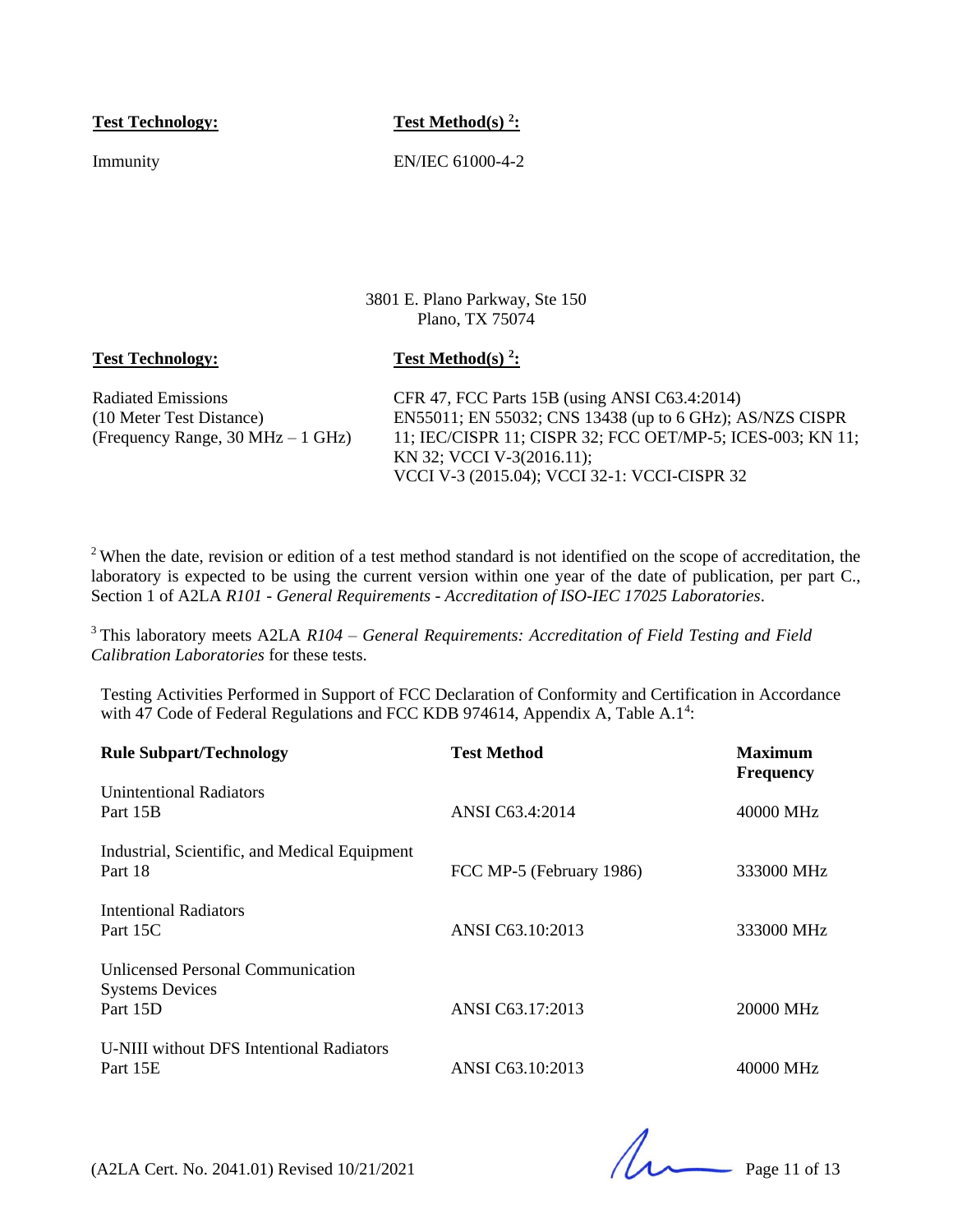**Test Technology: Test Method(s) <sup>2</sup> :**

Immunity EN/IEC 61000-4-2

3801 E. Plano Parkway, Ste 150 Plano, TX 75074

#### **Test Technology: Test Method(s)<sup>2</sup>:**

Radiated Emissions (10 Meter Test Distance) (Frequency Range, 30 MHz – 1 GHz) CFR 47, FCC Parts 15B (using ANSI C63.4:2014) EN55011; EN 55032; CNS 13438 (up to 6 GHz); AS/NZS CISPR 11; IEC/CISPR 11; CISPR 32; FCC OET/MP-5; ICES-003; KN 11; KN 32; VCCI V-3(2016.11); VCCI V-3 (2015.04); VCCI 32-1: VCCI-CISPR 32

<sup>2</sup>When the date, revision or edition of a test method standard is not identified on the scope of accreditation, the laboratory is expected to be using the current version within one year of the date of publication, per part C., Section 1 of A2LA *R101 - General Requirements - Accreditation of ISO-IEC 17025 Laboratories*.

<sup>3</sup>This laboratory meets A2LA *R104 – General Requirements: Accreditation of Field Testing and Field Calibration Laboratories* for these tests.

Testing Activities Performed in Support of FCC Declaration of Conformity and Certification in Accordance with 47 Code of Federal Regulations and FCC KDB 974614, Appendix A, Table A.1<sup>4</sup>:

| <b>Rule Subpart/Technology</b>                                                 | <b>Test Method</b>       | <b>Maximum</b><br><b>Frequency</b> |
|--------------------------------------------------------------------------------|--------------------------|------------------------------------|
| <b>Unintentional Radiators</b><br>Part 15B                                     | ANSI C63.4:2014          | 40000 MHz                          |
| Industrial, Scientific, and Medical Equipment<br>Part 18                       | FCC MP-5 (February 1986) | 333000 MHz                         |
| Intentional Radiators<br>Part 15C                                              | ANSI C63.10:2013         | 333000 MHz                         |
| <b>Unlicensed Personal Communication</b><br><b>Systems Devices</b><br>Part 15D | ANSI C63.17:2013         | 20000 MHz                          |
| U-NIII without DFS Intentional Radiators<br>Part 15E                           | ANSI C63.10:2013         | 40000 MHz                          |

(A2LA Cert. No. 2041.01) Revised 10/21/2021 Page 11 of 13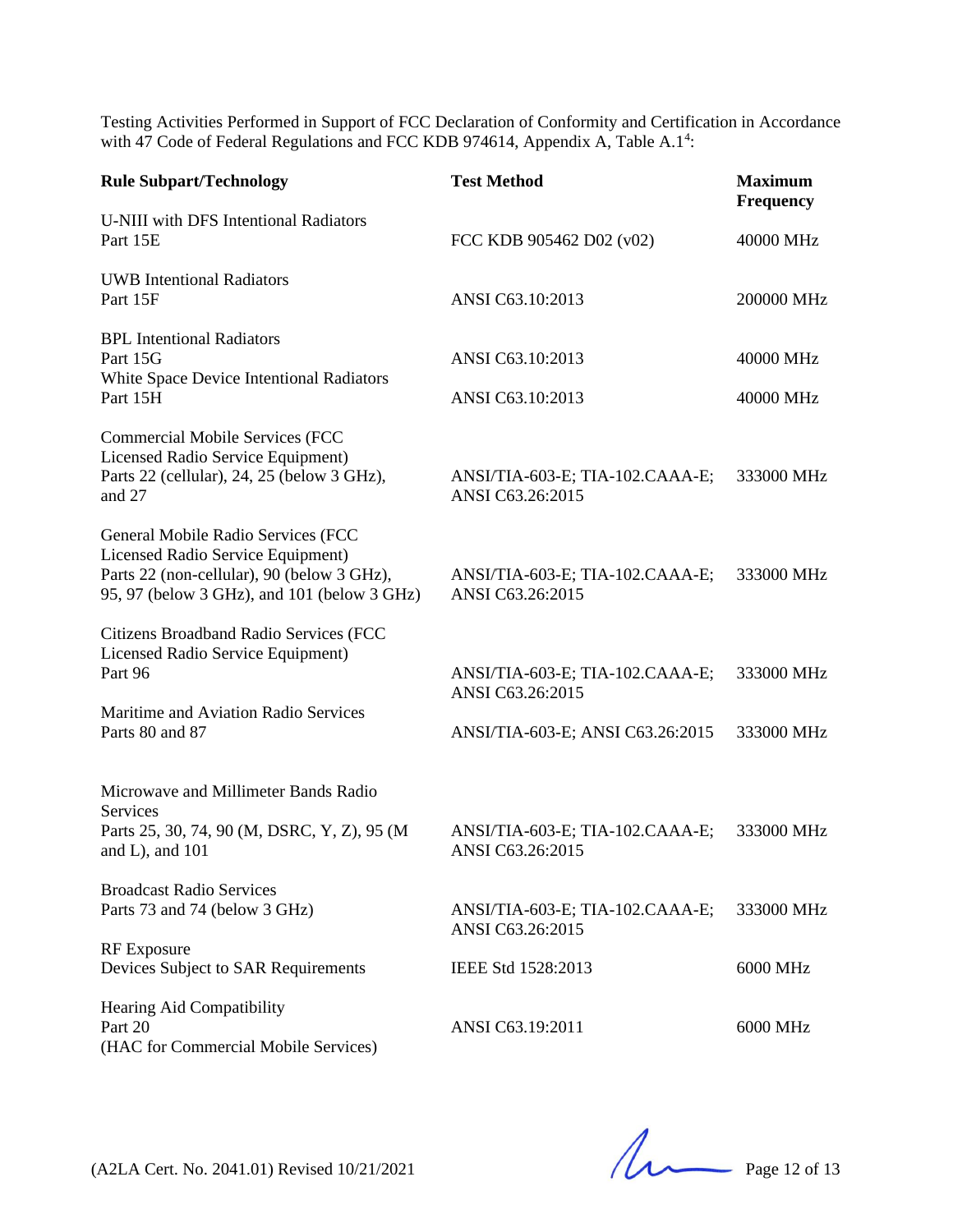Testing Activities Performed in Support of FCC Declaration of Conformity and Certification in Accordance with 47 Code of Federal Regulations and FCC KDB 974614, Appendix A, Table A.1<sup>4</sup>:

| <b>Rule Subpart/Technology</b>                                                                                                                                       | <b>Test Method</b>                                  | <b>Maximum</b><br><b>Frequency</b> |
|----------------------------------------------------------------------------------------------------------------------------------------------------------------------|-----------------------------------------------------|------------------------------------|
| U-NIII with DFS Intentional Radiators<br>Part 15E                                                                                                                    | FCC KDB 905462 D02 (v02)                            | 40000 MHz                          |
| <b>UWB</b> Intentional Radiators<br>Part 15F                                                                                                                         | ANSI C63.10:2013                                    | 200000 MHz                         |
| <b>BPL</b> Intentional Radiators<br>Part 15G<br>White Space Device Intentional Radiators<br>Part 15H                                                                 | ANSI C63.10:2013<br>ANSI C63.10:2013                | 40000 MHz<br>40000 MHz             |
| <b>Commercial Mobile Services (FCC</b>                                                                                                                               |                                                     |                                    |
| Licensed Radio Service Equipment)<br>Parts 22 (cellular), 24, 25 (below 3 GHz),<br>and 27                                                                            | ANSI/TIA-603-E; TIA-102.CAAA-E;<br>ANSI C63.26:2015 | 333000 MHz                         |
| General Mobile Radio Services (FCC<br>Licensed Radio Service Equipment)<br>Parts 22 (non-cellular), 90 (below 3 GHz),<br>95, 97 (below 3 GHz), and 101 (below 3 GHz) | ANSI/TIA-603-E; TIA-102.CAAA-E;<br>ANSI C63.26:2015 | 333000 MHz                         |
| Citizens Broadband Radio Services (FCC<br>Licensed Radio Service Equipment)<br>Part 96                                                                               | ANSI/TIA-603-E; TIA-102.CAAA-E;<br>ANSI C63.26:2015 | 333000 MHz                         |
| Maritime and Aviation Radio Services<br>Parts 80 and 87                                                                                                              | ANSI/TIA-603-E; ANSI C63.26:2015                    | 333000 MHz                         |
| Microwave and Millimeter Bands Radio                                                                                                                                 |                                                     |                                    |
| <b>Services</b><br>Parts 25, 30, 74, 90 (M, DSRC, Y, Z), 95 (M<br>and $L$ ), and $101$                                                                               | ANSI/TIA-603-E; TIA-102.CAAA-E;<br>ANSI C63.26:2015 | 333000 MHz                         |
| <b>Broadcast Radio Services</b><br>Parts 73 and 74 (below 3 GHz)                                                                                                     | ANSI/TIA-603-E; TIA-102.CAAA-E;<br>ANSI C63.26:2015 | 333000 MHz                         |
| <b>RF</b> Exposure<br>Devices Subject to SAR Requirements                                                                                                            | IEEE Std 1528:2013                                  | 6000 MHz                           |
| Hearing Aid Compatibility<br>Part 20<br>(HAC for Commercial Mobile Services)                                                                                         | ANSI C63.19:2011                                    | 6000 MHz                           |

(A2LA Cert. No. 2041.01) Revised 10/21/2021 Page 12 of 13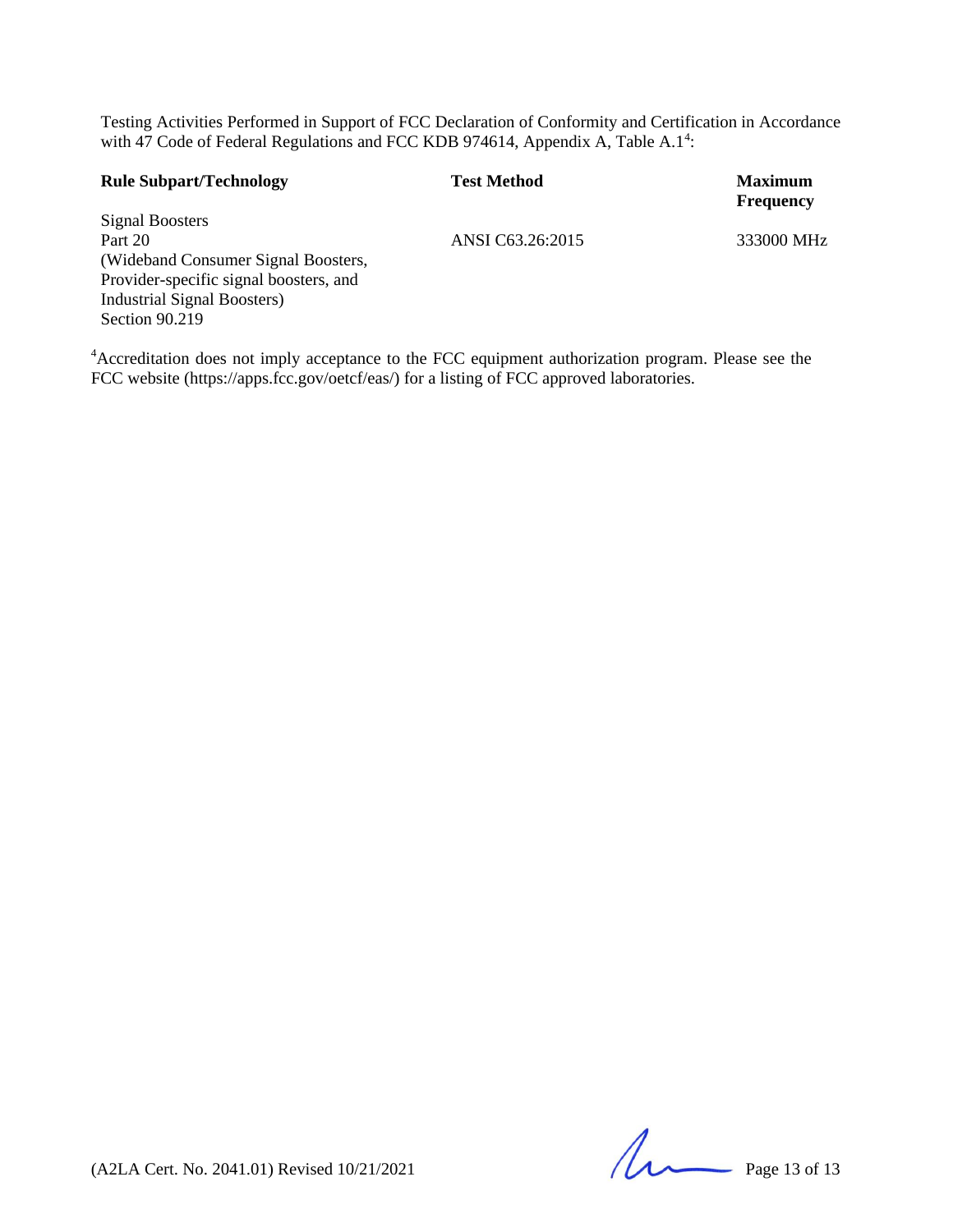Testing Activities Performed in Support of FCC Declaration of Conformity and Certification in Accordance with 47 Code of Federal Regulations and FCC KDB 974614, Appendix A, Table A.1<sup>4</sup>:

| <b>Rule Subpart/Technology</b>         | <b>Test Method</b> | <b>Maximum</b><br><b>Frequency</b> |
|----------------------------------------|--------------------|------------------------------------|
| Signal Boosters                        |                    |                                    |
| Part 20                                | ANSI C63.26:2015   | 333000 MHz                         |
| (Wideband Consumer Signal Boosters,    |                    |                                    |
| Provider-specific signal boosters, and |                    |                                    |
| <b>Industrial Signal Boosters</b> )    |                    |                                    |
| Section 90.219                         |                    |                                    |

<sup>4</sup>Accreditation does not imply acceptance to the FCC equipment authorization program. Please see the FCC website (https://apps.fcc.gov/oetcf/eas/) for a listing of FCC approved laboratories.

(A2LA Cert. No. 2041.01) Revised 10/21/2021 Page 13 of 13